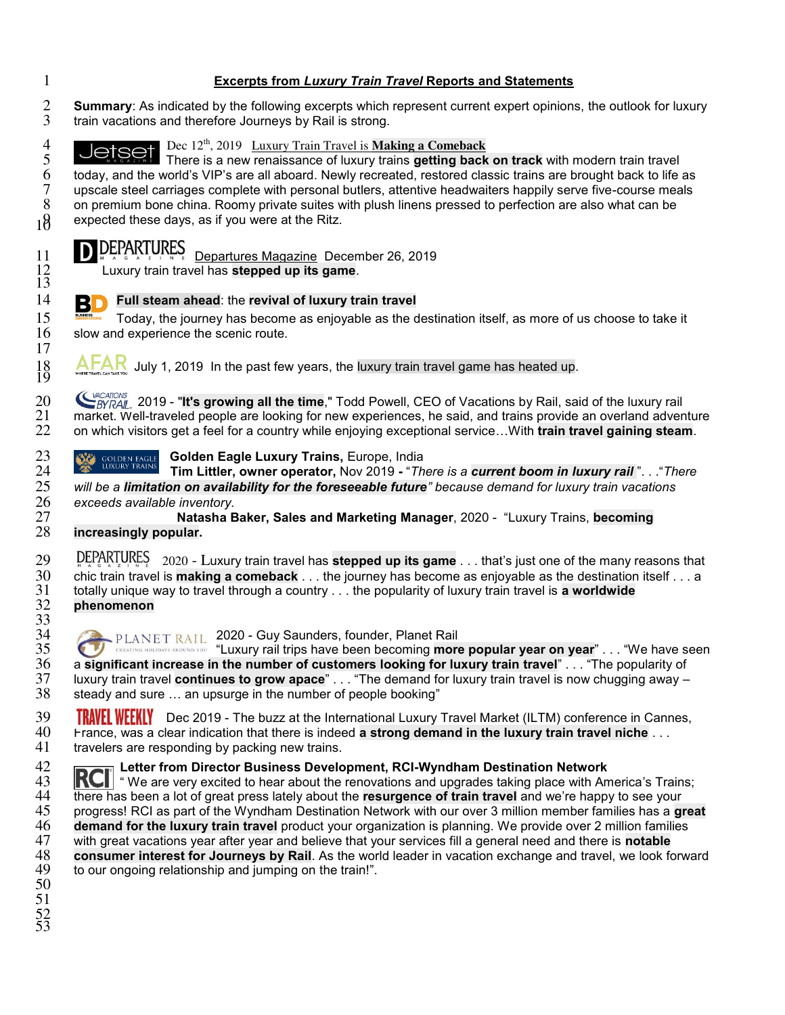## **Excerpts from** *Luxury Train Travel* **Reports and Statements**

2 **Summary**: As indicated by the following excerpts which represent current expert opinions, the outlook for luxury<br>3 train vacations and therefore Journeys by Rail is strong. train vacations and therefore Journeys by Rail is strong.



<sup>20</sup> CHICATIONS 2019 - "**It's growing all the time**," Todd Powell, CEO of Vacations by Rail, said of the luxury rail<br>21 market. Well-traveled people are looking for new experiences, he said, and trains provide an overland 21 market. Well-traveled people are looking for new experiences, he said, and trains provide an overland adventure<br>22 on which visitors get a feel for a country while enjoying exceptional service...With **train travel gaini** on which visitors get a feel for a country while enjoying exceptional service…With **train travel gaining steam**.

23 **GOLDEN EAGLE Golden Eagle Luxury Trains, Europe, India**<br>24 **GOLDEN FRAINS Tim Littler, owner operator, Nov 2019 -** "The

**The CONDEX TRAINS** Tim Littler, owner operator, Nov 2019 - "*There is a current boom in luxury rail* ". . . "*There* 25 will be a limitation on availability for the foreseeable future" because demand for luxury train v *will be a limitation on availability for the foreseeable future" because demand for luxury train vacations* 

*exceeds available inventory.*  **Natasha Baker, Sales and Marketing Manager**, 2020 - "Luxury Trains, **becoming**  increasingly popular.

29 DEPARTURES 2020 - Luxury train travel has **stepped up its game** . . . that's just one of the many reasons that<br>30 chic train travel is **making a comeback** . . . the journey has become as enjovable as the destination its chic train travel is **making a comeback** . . . the journey has become as enjoyable as the destination itself . . . a totally unique way to travel through a country . . . the popularity of luxury train travel is **a worldwide phenomenon** 

34 PLANET RAIL 2020 - Guy Saunders, founder, Planet Rail 35 **19 STAR AND CREATING HOLIDAYS AROUND YOU** "Luxury rail trips have been becoming **more popular year on year**" . . . "We have seen a significant increase in the number of customers looking for luxury train travel" . . 36 a **significant increase in the number of customers looking for luxury train travel" . . . "The popularity of<br>37 luxury train travel <b>continues to grow apace**" . . . "The demand for luxury train travel is now chugging aw luxury train travel **continues to grow apace**" . . . "The demand for luxury train travel is now chugging away – steady and sure ... an upsurge in the number of people booking"

 $\frac{1840}{29}$  **TRAVEL WEEKLY** Dec 2019 - The buzz at the International Luxury Travel Market (ILTM) conference in Cannes, 40 France, was a clear indication that there is indeed **a strong demand in the luxury train travel n** France, was a clear indication that there is indeed **a strong demand in the luxury train travel niche** . . . travelers are responding by packing new trains.

**RCI** Letter from Director Business Development, RCI-Wyndham Destination Network 43 **RCI** "We are very excited to hear about the renovations and upgrades taking place with Am

And **RCI** " We are very excited to hear about the renovations and upgrades taking place with America's Trains;<br>44 there has been a lot of great press lately about the **resurgence of train travel** and we're happy to see you there has been a lot of great press lately about the **resurgence of train travel** and we're happy to see your<br>45 progress! RCI as part of the Wyndham Destination Network with our over 3 million member families has a gi progress! RCI as part of the Wyndham Destination Network with our over 3 million member families has a **great demand for the luxury train travel** product your organization is planning. We provide over 2 million families with great vacations year after year and believe that your services fill a general need and there is **notable consumer interest for Journeys by Rail**. As the world leader in vacation exchange and travel, we look forward to our ongoing relationship and jumping on the train!". 

 $\frac{32}{33}$ <br> $\frac{33}{34}$ 

 

 $\frac{18}{19}$